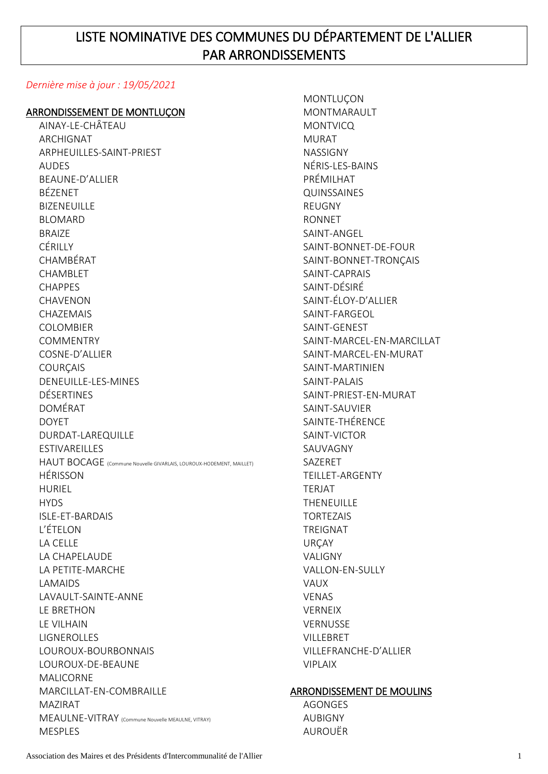# LISTE NOMINATIVE DES COMMUNES DU DÉPARTEMENT DE L'ALLIER PAR ARRONDISSEMENTS

### *Dernière mise à jour : 19/05/2021*

#### ARRONDISSEMENT DE MONTLUÇON

AINAY-LE-CHÂTEAU ARCHIGNAT ARPHEUILLES-SAINT-PRIEST AUDES BEAUNE-D'ALLIER BÉZENET **BIZENEUILLE** BLOMARD BRAIZE CÉRILLY CHAMBÉRAT CHAMBLET CHAPPES **CHAVENON** CHAZEMAIS COLOMBIER **COMMENTRY** COSNE-D'ALLIER **COURCAIS** DENEUILLE-LES-MINES DÉSERTINES DOMÉRAT DOYET DURDAT-LAREQUILLE **ESTIVAREILLES** HAUT BOCAGE (Commune Nouvelle GIVARLAIS, LOUROUX-HODEMENT, MAILLET) HÉRISSON HURIEL **HYDS** ISLE-ET-BARDAIS L'ÉTELON LA CELLE LA CHAPELAUDE LA PETITE-MARCHE LAMAIDS LAVAULT-SAINTE-ANNE LE BRETHON LE VILHAIN LIGNEROLLES LOUROUX-BOURBONNAIS LOUROUX-DE-BEAUNE MALICORNE MARCILLAT-EN-COMBRAILLE MAZIRAT MEAULNE-VITRAY (Commune Nouvelle MEAULNE, VITRAY) MESPLES

**MONTLUCON** MONTMARAULT **MONTVICQ** MURAT NASSIGNY NÉRIS-LES-BAINS PRÉMILHAT QUINSSAINES REUGNY RONNET SAINT-ANGEL SAINT-BONNET-DE-FOUR SAINT-BONNET-TRONÇAIS SAINT-CAPRAIS SAINT-DÉSIRÉ SAINT-ÉLOY-D'ALLIER SAINT-FARGEOL SAINT-GENEST SAINT-MARCEL-EN-MARCILLAT SAINT-MARCEL-EN-MURAT SAINT-MARTINIEN SAINT-PALAIS SAINT-PRIEST-EN-MURAT SAINT-SAUVIER SAINTE-THÉRENCE SAINT-VICTOR SAUVAGNY SAZERET TEILLET-ARGENTY **TERIAT** THENEUILLE TORTEZAIS TREIGNAT URÇAY VALIGNY VALLON-EN-SULLY VAUX VENAS VERNEIX **VERNUSSE** VILLEBRET VILLEFRANCHE-D'ALLIER VIPLAIX

#### ARRONDISSEMENT DE MOULINS

AGONGES AUBIGNY AUROUËR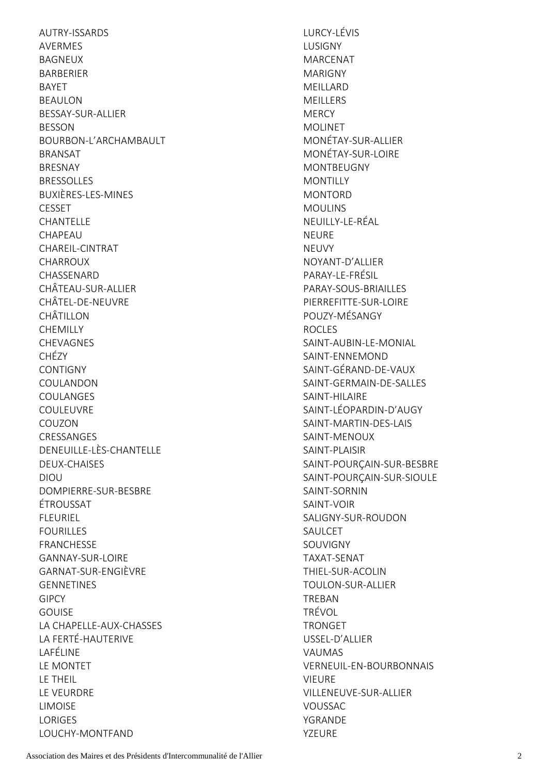AUTRY-ISSARDS AVERMES BAGNEUX BARBERIER BAYET BEAULON BESSAY-SUR-ALLIER BESSON BOURBON-L'ARCHAMBAULT BRANSAT **BRESNAY BRESSOLLES** BUXIÈRES-LES-MINES **CESSET** CHANTELLE CHAPEAU CHAREIL-CINTRAT CHARROUX CHASSENARD CHÂTEAU-SUR-ALLIER CHÂTEL-DE-NEUVRE CHÂTILLON **CHEMILLY** CHEVAGNES CHÉZY **CONTIGNY** COULANDON COULANGES COULEUVRE COUZON CRESSANGES DENEUILLE-LÈS-CHANTELLE DEUX-CHAISES DIOU DOMPIERRE-SUR-BESBRE ÉTROUSSAT FLEURIEL FOURILLES FRANCHESSE GANNAY-SUR-LOIRE GARNAT-SUR-ENGIÈVRE GENNETINES GIPCY **GOUISE** LA CHAPELLE-AUX-CHASSES LA FERTÉ-HAUTERIVE LAFÉLINE LE MONTET LE THEIL LE VEURDRE LIMOISE LORIGES LOUCHY-MONTFAND

LURCY-LÉVIS LUSIGNY MARCENAT MARIGNY MEILLARD MEILLERS **MERCY** MOLINET MONÉTAY-SUR-ALLIER MONÉTAY-SUR-LOIRE MONTBEUGNY **MONTILLY** MONTORD MOULINS NEUILLY-LE-RÉAL NEURE NEUVY NOYANT-D'ALLIER PARAY-LE-FRÉSIL PARAY-SOUS-BRIAILLES PIFRREFITTE-SUR-LOIRE POUZY-MÉSANGY ROCLES SAINT-AUBIN-LE-MONIAL SAINT-ENNEMOND SAINT-GÉRAND-DE-VAUX SAINT-GERMAIN-DE-SALLES SAINT-HILAIRE SAINT-LÉOPARDIN-D'AUGY SAINT-MARTIN-DES-LAIS SAINT-MENOUX SAINT-PLAISIR SAINT-POURÇAIN-SUR-BESBRE SAINT-POURÇAIN-SUR-SIOULE SAINT-SORNIN SAINT-VOIR SALIGNY-SUR-ROUDON SAULCET SOUVIGNY TAXAT-SENAT THIEL-SUR-ACOLIN TOULON-SUR-ALLIER TREBAN TRÉVOL TRONGET USSEL-D'ALLIER VAUMAS VERNEUIL-EN-BOURBONNAIS VIEURE VILLENEUVE-SUR-ALLIER VOUSSAC YGRANDE YZEURE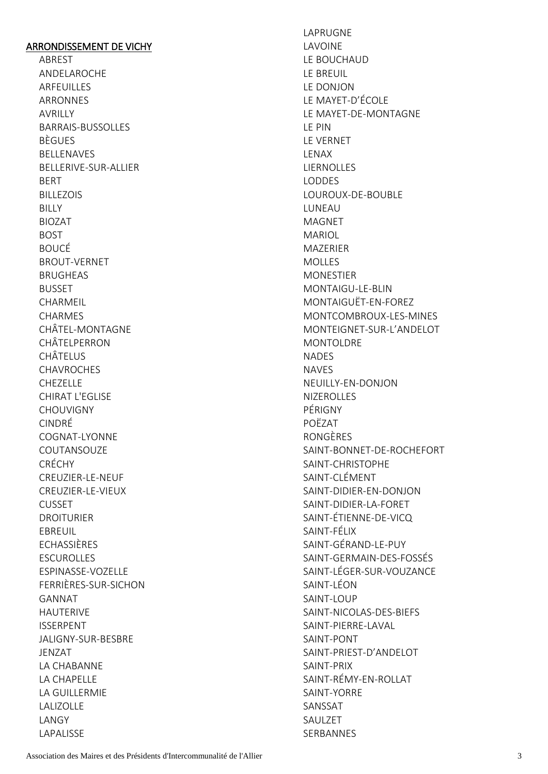## ARRONDISSEMENT DE VICHY

ABREST ANDELAROCHE ARFEUILLES ARRONNES **AVRILLY** BARRAIS-BUSSOLLES BÈGUES BELLENAVES BELLERIVE-SUR-ALLIER BERT BILLEZOIS **BILLY** BIOZAT BOST BOUCÉ BROUT-VERNET BRUGHEAS **BUSSET** CHARMEIL CHARMES CHÂTEL-MONTAGNE CHÂTELPERRON CHÂTELUS **CHAVROCHES** CHEZELLE CHIRAT L'EGLISE CHOUVIGNY CINDRÉ COGNAT-LYONNE COUTANSOUZE CRÉCHY CREUZIER-LE-NEUF CREUZIER-LE-VIEUX CUSSET DROITURIER EBREUIL ECHASSIÈRES ESCUROLLES ESPINASSE-VOZELLE FERRIÈRES-SUR-SICHON GANNAT HAUTERIVE ISSERPENT JALIGNY-SUR-BESBRE JENZAT LA CHABANNE LA CHAPELLE LA GUILLERMIE LALIZOLLE LANGY LAPALISSE

LAPRUGNE LAVOINE LE BOUCHAUD LE BREUIL LE DONJON LE MAYET-D'ÉCOLE LE MAYET-DE-MONTAGNE LE PIN LE VERNET LENAX **LIERNOLLES** LODDES LOUROUX-DE-BOUBLE LUNEAU MAGNET MARIOL MAZERIER MOLLES MONESTIER MONTAIGU-LE-BLIN MONTAIGUËT-EN-FOREZ MONTCOMBROUX-LES-MINES MONTEIGNET-SUR-L'ANDELOT MONTOLDRE NADES NAVES NEUILLY-EN-DONJON NIZEROLLES PÉRIGNY POËZAT RONGÈRES SAINT-BONNET-DE-ROCHEFORT SAINT-CHRISTOPHE SAINT-CLÉMENT SAINT-DIDIER-EN-DONJON SAINT-DIDIER-LA-FORET SAINT-ÉTIENNE-DE-VICQ SAINT-FÉLIX SAINT-GÉRAND-LE-PUY SAINT-GERMAIN-DES-FOSSÉS SAINT-LÉGER-SUR-VOUZANCE SAINT-LÉON SAINT-LOUP SAINT-NICOLAS-DES-BIEFS SAINT-PIERRE-LAVAL SAINT-PONT SAINT-PRIEST-D'ANDELOT SAINT-PRIX SAINT-RÉMY-EN-ROLLAT SAINT-YORRE SANSSAT SAULZET SERBANNES